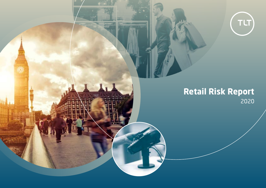

# **Retail Risk Report** 2020

mm

究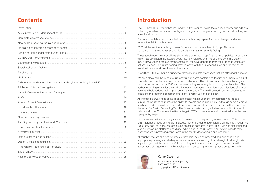# **Contents**

| Sustainability and fashion manufactured and support and support of the substitution of the support of the substitution of the support of the substitution of the substitution of the substitution of the substitution of the s |    |
|--------------------------------------------------------------------------------------------------------------------------------------------------------------------------------------------------------------------------------|----|
|                                                                                                                                                                                                                                |    |
|                                                                                                                                                                                                                                |    |
|                                                                                                                                                                                                                                |    |
|                                                                                                                                                                                                                                |    |
|                                                                                                                                                                                                                                |    |
|                                                                                                                                                                                                                                |    |
|                                                                                                                                                                                                                                |    |
|                                                                                                                                                                                                                                |    |
|                                                                                                                                                                                                                                |    |
|                                                                                                                                                                                                                                | 18 |
|                                                                                                                                                                                                                                |    |
|                                                                                                                                                                                                                                | 20 |
|                                                                                                                                                                                                                                | 21 |
|                                                                                                                                                                                                                                |    |
|                                                                                                                                                                                                                                | 22 |
|                                                                                                                                                                                                                                |    |
|                                                                                                                                                                                                                                | 24 |
|                                                                                                                                                                                                                                | 25 |

# **Introduction**

The TLT Retail Risk Report has returned for a fifth year, following the success of previous editions in helping retailers understand the legal and regulatory changes affecting the market for the year ahead and beyond.

Our retail specialists also share their advice on how to prepare for these changes and ways to reduce the risk to the business.

2020 will be another challenging year for retailers, with a number of high profile names succumbing to the tougher economic conditions that the sector is facing.

These tough economic conditions show little sign of letting up. The domestic political uncertainty which has dominated the last few years has now relented with the decisive general election result. However, the precise arrangements for the UK's departure from the European Union are not yet finalised. Our future trading arrangements with the European Union and the rest of the world will be shaped over the next few years.

In addition, 2020 will bring a number of domestic regulatory changes that are affecting the sector.

We have also seen the impact of Coronavirus on some sectors and the financial markets in 2020. The full impact on the retail sector remains to be seen. The UK has committed to achieving net zero carbon emissions by 2050 and we are starting to see regulatory change to this effect. New carbon reporting regulations intend to increase awareness among large organisations of energy costs and help reduce their impact on climate change. There will be additional requirements in relation to the reporting of carbon emissions, energy use and efficiency.

An increasing awareness of the impact of plastic waste upon the environment has led to a number of initiatives to improve the ability to recycle and re-use plastic. Although some progress has been made by retailers, this has been voluntary and slow so regulation is on the horizon in the form of a Plastic Packaging Tax. The focus on sustainability will also see a switch to electric vehicles with the Government setting a target of 70% of new car sales in the ultra-low emissions category by 2030.

UK consumer online spending is set to increase in 2020 expecting to reach £48bn. This has led to an increased focus on the digital space. Tighter consumer legislation is on the way through the EU's "new deal" for consumers focusing on online consumer rights. The CMA has also launched a study into online platforms and digital advertising in the UK setting out how it plans to foster innovation while protecting consumers in the rapidly developing digital economy.

Although these are challenging times for retailers, by being prepared and putting in place appropriate planning and strategies, retailers can continue to go from strength to strength. We hope that you find this report useful in planning for the year ahead. If you have any questions about these changes or would like assistance in preparing for them, please do get in touch.



### **Kerry Gwyther**

Partner and Head of Regulatory **T** 0333 006 0155 kerry.gwyther@TLTsolicitors.com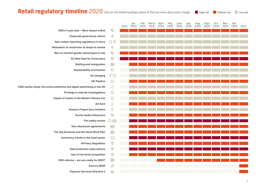# Retail regulatory timeline 2020 Click on the linked headings below to find out more about each change **In High risk In Medium risk In Low risk**

|                                                                          |                                        | 2019 | Jan<br>2020 | Feb<br>2020 | March<br>2020 | April<br>2020 | May<br>2020 | June<br><b>2020</b> | July<br>2020 | Aug<br>2020 | Sept<br>2020 | Oct<br>2020 | Nov<br>2020 | Dec<br>2020 | 2021 |
|--------------------------------------------------------------------------|----------------------------------------|------|-------------|-------------|---------------|---------------|-------------|---------------------|--------------|-------------|--------------|-------------|-------------|-------------|------|
| ASA's 5 year plan - More impact online                                   | <b>SORS</b>                            |      |             |             |               |               |             |                     |              |             |              |             |             |             |      |
| Corporate governance reform                                              | $\mathbf{C}$                           |      |             |             |               |               |             |                     |              |             |              |             |             |             |      |
| New carbon reporting regulations in force                                | Ø.                                     |      |             |             |               |               |             |                     |              |             |              |             |             |             |      |
| Relaxation of conversion of shops to homes                               | $\mathbf 9$                            |      |             |             |               |               |             |                     |              |             |              |             |             |             |      |
| Ban on harmful gender stereotypes in ads                                 | <b>SOR</b>                             |      |             |             |               |               |             |                     |              |             |              |             |             |             |      |
| <b>EU New Deal for Consumers</b>                                         | $\bullet$                              |      |             |             |               |               |             |                     |              |             |              |             |             |             |      |
| <b>Staffing and immigration</b>                                          | $\begin{bmatrix} 1 \\ 0 \end{bmatrix}$ |      |             |             |               |               |             |                     |              |             |              |             |             |             |      |
| Sustainability and fashion                                               | $\bullet$                              |      |             |             |               |               |             |                     |              |             |              |             |             |             |      |
| <b>EV</b> charging                                                       | $\bigcirc$                             |      |             |             |               |               |             |                     |              |             |              |             |             |             |      |
| <b>UK Plastics</b>                                                       | $\bullet$                              |      |             |             |               |               |             |                     |              |             |              |             |             |             |      |
| CMA market study into online platforms and digital advertising in the UK | $\delta \tilde{C}$                     |      |             |             |               |               |             |                     |              |             |              |             |             |             |      |
| Privilege in internal investigations                                     | ♦                                      |      |             |             |               |               |             |                     |              |             |              |             |             |             |      |
| Impact of review of the Modern Slavery Act                               | ♦                                      |      |             |             |               |               |             |                     |              |             |              |             |             |             |      |
| Ad-Tech                                                                  | $\overline{\mathbf{E}}$                |      |             |             |               |               |             |                     |              |             |              |             |             |             |      |
| Amazon Project Zero Initiative                                           | $\mathbf{E}$                           |      |             |             |               |               |             |                     |              |             |              |             |             |             |      |
| Social media influencers                                                 | <b>SOR</b>                             |      |             |             |               |               |             |                     |              |             |              |             |             |             |      |
| Fire safety review                                                       | $\odot$ $\odot$                        |      |             |             |               |               |             |                     |              |             |              |             |             |             |      |
| Non-disclosure agreements                                                |                                        |      |             |             |               |               |             |                     |              |             |              |             |             |             |      |
| The Gig Economy and the Good Work Plan                                   | En 1                                   |      |             |             |               |               |             |                     |              |             |              |             |             |             |      |
| Insolvency trends in the retail sector                                   | $\bigodot$                             |      |             |             |               |               |             |                     |              |             |              |             |             |             |      |
| ePrivacy Regulation                                                      | $\bigoplus$                            |      |             |             |               |               |             |                     |              |             |              |             |             |             |      |
| Data protection class actions                                            | $\bigoplus$                            |      |             |             |               |               |             |                     |              |             |              |             |             |             |      |
| Use of live facial recognition                                           | $\bigcirc$                             |      |             |             |               |               |             |                     |              |             |              |             |             |             |      |
| IR35 reforms - are you ready for 2020?                                   | $\begin{bmatrix} 0 \\ 0 \end{bmatrix}$ |      |             |             |               |               |             |                     |              |             |              |             |             |             |      |
| <b>End of LIBOR</b>                                                      | ę                                      |      |             |             |               |               |             |                     |              |             |              |             |             |             |      |
| <b>Payment Services Directive 2</b>                                      | ESP                                    |      |             |             |               |               |             |                     |              |             |              |             |             |             |      |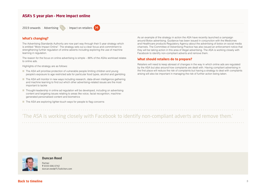### <span id="page-3-0"></span>**ASA's 5 year plan – More impact online**

2019 onwards | Advertising  $\frac{1}{2}$  | Impact on retailers M

#### **What's changing?**

The Advertising Standards Authority are now part way through their 5 year strategy which is entitled "More Impact Online". The strategy sets out a clear focus and commitment to strengthening further regulation of online adverts including exploring the use of machine learning in regulation.

The reason for the focus on online advertising is simple – 88% of the ASAs workload relates to online ads.

Highlights of the strategy are as follows:

- The ASA will prioritise protection of vulnerable people limiting children and young people's exposure to age restricted ads for particular food types, alcohol and gambling
- The ASA will monitor in new ways including research, data-driven intelligence gathering and machine learning to find out which other advertising-related issues are the most important to tackle
- Thought-leadership in online ad regulation will be developed, including on advertising content and targeting issues relating to areas like voice, facial recognition, machinegenerated personalised content and biometrics
- The ASA are exploring lighter-touch ways for people to flag concerns

As an example of the strategy in action the ASA have recently launched a campaign around Botox advertising. Guidance has been issued in conjunction with the Medicines and Healthcare products Regulatory Agency about the advertising of botox on social media channels. The Committee of Advertising Practice has also issued an enforcement notice that they will be taking action in this area of illegal advertising. The ASA is working closely with Facebook to identify non-compliant adverts and remove them.

#### **What should retailers do to prepare?**

Retailers will need to keep abreast of changes in the way in which online ads are regulated by the ASA but also around how complaints are dealt with. Having compliant advertising in the first place will reduce the risk of complaints but having a strategy to deal with complaints arising will also be important in managing the risk of further action being taken.

## 'The ASA is working closely with Facebook to identify non-compliant adverts and remove them.'



#### **Duncan Reed**

Partner **T** 0333 006 0742 duncan.reed@TLTsolicitors.com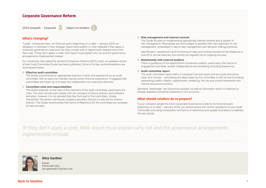### <span id="page-4-0"></span>**Corporate Governance Reform**

2019 onwards | Corporate  $\sqrt{2}$  | Impact on retailers

#### **What's changing?**

"Large" companies have, for financial years beginning on or after 1 January 2019, an obligation to disclose in their strategic report (and publish on their website) if they apply a corporate governance code and how they comply with or depart (with reasons why) from that code. If they don't apply a code, their report must explain why not and the governance arrangements implemented instead.

For companies who adopt the Quoted Companies Alliance (QCA) code, an updated version of their Audit Committee Guide has been published. Some of its key recommendations are summarised below.

#### ■ **Effective audit committee**

The Guide recommends an appropriate balance of skills and experience on an audit committee, with at least one member having recent financial experience. It suggests that committees are made up of at least two independent non-executive directors.

#### ■ **Committee roles and responsibilities**

The Guide expands on the roles of the members of the audit committee, particularly the chair. The chair should work closely with the company's finance director and company secretary, however it is not advised that they form part of the committee. Unless impractical, the person serving as company secretary should not also be the finance director. The Guide recommends that Terms of Reference for the committee are reviewed at least annually.

#### ■ **Risk management and internal controls**

The Guide focuses on implementing appropriate internal controls and a system of risk management. Businesses are encouraged to develop their own approach to risk management, embedded in day-to-day management and decision making practices.

Identification, assessment and monitoring of risks and controls should not be treated as a one-off or annual exercise, but carried out regularly as an ongoing process.

#### ■ **Relationship with external auditors**

There is guidance on the appointment of external auditors, particularly their terms of engagement and fees, auditor independence and tendering (including frequency).

#### ■ **Audit committee report**

The audit committee report within a company's annual report and accounts should be clear and concise – articulating the steps taken by the committee to fulfil its role (including addressing auditor rotation, appointment, tendering, the risk and control framework and internal assurance function).

Standard "boilerplate" text should be avoided, as well as information which is irrelevant or already detailed sufficiently elsewhere in the accounts.

#### **What should retailers do to prepare?**

If your company adopts the QCA Corporate Governance Code for its financial years beginning on or after 1 January 2019, you should review the current operations of your Audit Committee (including composition and terms of reference) and update its practice to address the new Guide.

'If they don't apply a code, their report must explain why not and the governance arrangements implemented instead.'



#### **Alice Gardner**

Partner **T** 0333 006 0341 alice.gardner@TLTsolicitors.com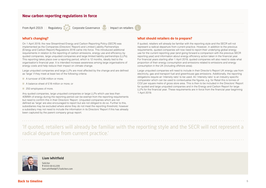### <span id="page-5-0"></span>**New carbon reporting regulations in force**

From April 2019 | Regulatory Corporate Governance  $\Box$  | Impact on retailers

#### **What's changing?**

On 1 April 2019, the new Streamlined Energy and Carbon Reporting Policy (SECR) was implemented as the Companies (Directors' Report) and Limited Liability Partnerships (Energy and Carbon Report) Regulations 2018 came into force. This introduced additional requirements in relation to the reporting of carbon emissions, energy use and efficiency by quoted companies, large unquoted companies and large limited liability partnerships (LLPs). This reporting takes place over a reporting period, which is 12 months, ideally tied to the organisation's financial year. It is intended increase awareness among large organisations of energy costs and help reduce their impact on climate change.

Large unquoted companies and large LLPs are most affected by the change and are defined as 'large' if they meet at least two of the following criteria:

- A turnover of £36 million or more;
- A balance sheet of £18 million or more; or
- 250 employees of more.

Any quoted companies, large unquoted companies or large LLPs which use less than 40MWh of energy during the reporting period can be exempt from the reporting requirements but need to confirm this in their Directors' Report. Unquoted companies which are not defined as 'large' are also encouraged to report but are not obliged to do so. Further to this, subsidiaries may be excluded where alone they do not meet the reporting threshold, however a subsidiary may not need to include the information in its Directors' Report if this has already been captured by the parent company group report.

#### **What should retailers do to prepare?**

If quoted, retailers will already be familiar with the reporting style and the SECR will not represent a radical departure from current practice. However, in addition to the previous requirements, quoted companies will now need to report their underlying global energy use for the current reporting year (and going forward a comparison with the previous SECR reporting year) and information about energy efficiency action taken in the financial year. For financial years starting after 1 April 2019, quoted companies will also need to state what proportion of their energy consumption and emissions related to emissions and energy consumption in the UK (including offshore area).

Large unquoted companies will need to include in their Director's Report UK energy use from electricity, gas and transport fuel and greenhouse gas emissions. Additionally, the reporting obligations require an 'intensity ratio' to be used. An 'intensity ratio' is an industry specific comparator which can be used to contextualise the figures, e.g. for Retail this is tonnes of CO2 per square metre of gross store area. This is then to be included in the Directors' Report for quoted and large unquoted companies and in the Energy and Carbon Report for large LLPs for the financial year. These requirements are in force from the financial year beginning 1 April 2019.

'If quoted, retailers will already be familiar with the reporting style and the SECR will not represent a radical departure from current practice.'



#### **Liam Whitfield**

Solicitor **T** 0333 00 61209 liam.whitfield@TLTsolicitors.com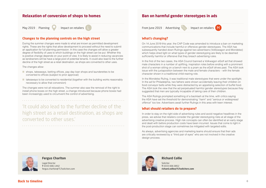### <span id="page-6-0"></span>**Relaxation of conversion of shops to homes**

May 2019 | Planning | | Impact on retailers

### **Changes to the planning controls on the high street**

During the summer changes were made to what are known as permitted development rights. These are the rights that allow development to proceed without the need to submit an application for full planning permission. In this case the changes will allow a greater degree of flexibility of uses to which buildings on the high street can be put. Whether this is positive change depends on your point of view. It is likely to assist in reducing vacancies as landowners will be have a large pool of potential tenants. It could also lead to the further decline of the high street as a retail destination, as shops are converted to other uses.

The changes allow:

- shops, takeaways, betting offices, pay day loan shops and launderettes to be converted to offices (subject to prior approval)
- takeaways to be converted to residential (together with the building works reasonably necessary to allow that conversion)

The changes were not all relaxations. The summer also saw the removal of the right to install phone boxes on the high street, a change introduced because phone boxes had been increasingly used to circumvent the control of advertising.

'It could also lead to the further decline of the high street as a retail destination, as shops are converted to other uses.'

### **Ban on harmful gender stereotypes in ads**

From June 2019 | Advertising  $\Im$  | Impact on retailers M



### **What's changing?**

On 14 June 2019 this year, the CAP Code was amended to introduce a ban on marketing communications that include harmful or offensive gender stereotypes. The ASA has subsequently handed down Rulings against two advertisers (Volkswagon and Mondelez) which helps shed light on what types of gender stereotyping are likely to be deemed sufficiently harmful or offensive that they breach advertising rules.

In the first of the two cases, the ASA Council banned a Volkwagon eGolf ad that showed male characters in a number of uplifting, inspiration roles before ending with a prominent shot of a woman sitting on a bench next to a pram as the eGolf drives past. The ASA took issue with the juxtaposition between the male and female characters – with the female character shown in a traditional child-rearing role.

In the Mondelez Ruling, it was traditional male stereotypes that were under the spotlight. In the ad for Philadelphia, two fathers were shown accidentally leaving their children on food conveyor belts while they were distracted by an appetising selection of buffet food. The ASA took the view that the ad perpetuated harmful gender stereotypes because they suggested that men are typically incapable of taking care of their children.

The ASA Rulings prompted something of a backlash at the time, with critics saying the ASA have set the threshold for demonstrating "*harm*" and "*serious or widespread offence*" too low. Advertisers await further Rulings in this area with keen interest.

#### **What should retailers do to prepare?**

In order to stay on the right side of advertising rules and avoid negative headlines in the press, we advise that retailers consider the gender stereotyping risks at all stage of the advertising creative process. High risk concepts can often be identified at an early stage and dealt with before production costs have been incurred. Issues that come to light in the post-production stage can sometimes be mitigated with targeted edits.

As always, advertising agencies and marketing teams should ensure that their ads are critically reviewed by a "third pair of eyes" who are not involved in the creative design process.



#### **Fergus Charlton**

Legal Director **T** 0333 006 1442 fergus.charlton@TLTsolicitors.com



#### **Richard Collie**

Solicitor **T** 0333 006 0852 **richard.collie@TLTsolicitors.com**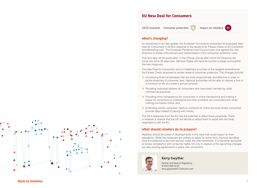## **EU New Deal for Consumers**

2020 onwards | Consumer protection  $\begin{array}{|c|c|c|c|c|}\hline \text{I} & \text{Im} \text{part on relations:} & \text{I} \end{array}$ 

### **What's changing?**

As mentioned in our last update, the European Commission presented its proposed 'New Deal for Consumers' in 2018 in response to the results of its 'Fitness Check on EU Consumer and Marketing Law'. The European Parliament and Council have now agreed the new Directive on better enforcement and modernisation of EU consumer protection rules.

The next step will be publication in the Official Journal after which the Directive will come into force 20 days later. Member States will have 24 months to adopt and publish the new measures.

The New Deal for Consumers aims to implement a number of the targeted amendments the Fitness Check proposed to certain areas of consumer protection. The changes include:

- Introducing financial penalties that are more proportionate and effective in order to tackle breaches of consumer laws. National authorities will be able to impose a fine of a minimum of 4% of a trader's annual turnover;
- Providing individual redress for consumers who have been harmed by unfair commercial practices;
- Providing more transparency for consumers in online transactions and making it easier for consumers to understand who their contracts are concluded with when making purchases online; and
- Extending certain consumer rights to contracts for online services where consumers provide data instead of paying with money.

The UK's departure from the EU has the potential to affect these proposals. There is however a chance that the UK will decide to adopt them to assist with the trade negotiations with the EU.

#### **What should retailers do to prepare?**

Retailers should be aware of developments in this area that could impact on their operations. While the measures are unlikely to apply for some time, financial penalties have the potential to be more serious under the new framework. It is therefore advisable to review compliance with consumer rights not only in respect of the upcoming changes but also existing agreements in place with consumers.



### **Kerry Gwyther**

Partner and Head of Regulatory **T** 0333 006 0155 kerry.gwyther@TLTsolicitors.com

<span id="page-7-0"></span>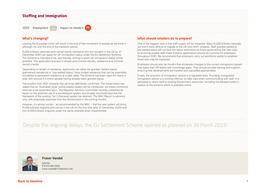### <span id="page-8-0"></span>**Staffing and Immigration**

2020 | Employment | **Impact on retailers** (*M* 

### **What's changing?**

Leaving the European Union will result in the end of free movement of people as we know it – although not until the end of the transition period.

EU/EEA/Swiss nationals (and certain family members) who are resident in the UK by 31 December 2020 can apply for UK immigration status under the EU Settlement Scheme. The Scheme is intended to be user-friendly, aiming to grant UK immigration status where possible. The application process is simple and involves identity, residence and criminal record checks.

Depending on length of residence, applicants can either be granted "settled status" (permanent residence) or "pre-settled status" (time-limited residence that can be potentially converted to permanent residence at a later date). The Scheme has been open for nearly a year, with around 2.5 million people having already been granted status.

The position from 2021 onwards has yet to be definitively confirmed. The Government has stated that an "Australian-style" points-based system will be introduced, but these comments have yet to be expanded upon. The Migration Advisory Committee recently published its report on the potential use of a pointsbased system, but broadly recommended that the framework of the existing Tier 2 (General) system be retained. The MAC Report is advisory only, with proposals expected from the Government in the coming months.

However, it's almost certain - as recommended by the MAC – that the new system will bring EU/EEA/Swiss migrants (who arrive in the UK for the first time after 31 December 2020) and non-EU/EEA/Swiss migrants under the same umbrella when implemented.

### **What should retailers do to prepare?**

One of the biggest risks is that staff supply will be impacted. Many EU/EEA/Swiss nationals will find it more difficult to migrate to the UK from 2021 onwards. Staff granted settled or pre-settled status will not face the same restrictions as those governed by the new rules, so ensuring eligible staff make Scheme applications should be a priority for employers throughout 2020. We recommend that employers carry out workforce audits to establish those who may be impacted.

Employers should also be mindful that wholesale changes to the current immigration system may leave their HR teams with knowledge gaps. They should provide training and support, ensuring that developments are tracked and cascaded appropriately.

Finally, the provision of immigration advice is a regulated area. Providing unregulated immigration advice is a criminal offence, so take care when communicating with staff. It is advisable to direct staff to existing Government resources, including the detailed toolkit in relation to the Scheme which is available online.

'Despite the ongoing delays, the EU Settlement Scheme opened as planned on 30 March 2019.'



**Fraser Vandal**

Solicitor **T** 0333 006 0409 fraser.vandal@TLTsolicitors.com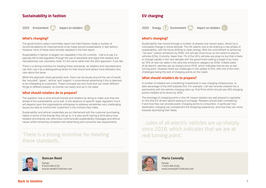### <span id="page-9-0"></span>**Sustainability in fashion**

2020 | Environment | | | Impact on retailers

**What's changing?** 

The government's select committee report into Fast Fashion made a number of recommendations for improvements to be made around sustainability in fast fashion. However none of these were formally adopted in the final report.

Sustainability in fashion is largely non-regulated in the UK currently – that is to say it is typically left to self-regulation through the use of standards and logos that retailers and manufacturers can voluntarily meet. It's the carrot rather than the stick approach, if you like.

There is a strong incentive for meeting these standards, as retailers and manufacturers can then use it as a distinguishing factor for their brand and attract more followers who care about the issue.

While this approach does generally work, there can be issues around the use of words like 'recycled', 'green', 'ethical' and 'organic' in promotional advertising if this is deemed to be misleading to customers. These concepts are very fluid and can mean different things to different people, so brands can easily end up in hot water.

#### **What should retailers do to prepare?**

The question now is what should brands and retailers be doing to make sure they are ahead of the sustainability curve ball. In the absence of specific legal regulation much will depend upon the organisations willingness to address sometimes very challenging issues but also to involve their customers in the choices they make.

Sustainability and ethical credentials are so intertwined with the customer purchasing habits in terms of the brands they will go to. It is also worth having a think about how retailers and brands can effectively communicate sustainability messages and ethical values whilst remaining compliant with advertising and consumer law requirements.

# 'There is a strong incentive for meeting these standards...'



#### **Duncan Reed**

Partner **T** 0333 006 0742 duncan.reed@TLTsolicitors.com

## **EV charging**

2020 | Energy  $\left( \frac{1}{2} \right)$  Environment  $\left( \frac{1}{2} \right)$  | Impact on retailers



### **What's changing?**

Sustainability has moved through a number of phases over recent years, driven by a noticeable change in social attitude. The UK seems now to be entering a new phase of sustainability, with the focus shifting to clean energy. With the commitment to achieving "net zero" carbon emissions by 2050, this will see more focus on the switch to electric vehicles (EVs). Currently, fewer than 1% of the UK's vehicles are plug-ins but that is likely to change rapidly in the next decade with the government setting a target of as many as 70% of new car sales in the ultra-low emissions category by 2030. Indeed sales of all-electric vehicles are up sharply since 2018, which indicates that we are at real turning point. However there are challenges to the uptake of EVs, with one of the main challenges being the lack of charging points on the roads.

#### **What should retailers do to prepare?**

A number of retailers are considering investments in new charging infrastructure, to take advantage of the shift towards EVs. For example, Lidl has recently entered into a partnership with the vehicle-charging start-up, Pod Point which should see 300 charging points installed at its stores by 2022.

The shortage of charging points in the UK means retailers are well-placed to capitalise on the time EV drivers spend waiting to recharge. Retailers should start considering if and how they can provide public charging points to consumers, in particular how destination charging can complement the shopping experience, and how they can move towards electrifying their fleets.

'...sales of all-electric vehicles are up sharply since 2018, which indicates that we are at real turning point.'



#### **Maria Connolly**

Partner T 0333 006 0109 maria.connolly@TLTsolicitors.com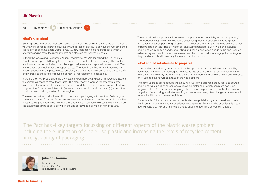### <span id="page-10-0"></span>**UK Plastics**

2020 | Environment | | | Impact on retailers | M

### **What's changing?**

Growing concern over the impact of plastic waste upon the environment has led to a number of voluntary initiatives to improve recyclability and re-use of plastic. To achieve the Government's stated aim of 'zero avoidable waste" by 2050, new legislation is being introduced which will affect packaging manufacturers, retailers and others in the packaging chain.

In 2018 the Waste and Resources Action Programme (WRAP) launched the UK Plastics Pact to encourage a shift away from the linear, disposable, plastics economy. The Pact is a voluntary coalition including over 120 large businesses who reportedly make or sell 85% of the plastic packaging used in supermarkets. The Pact has 4 key targets focussing on different aspects of the plastic waste problem, including the elimination of single use plastic and increasing the levels of recycled content or recyclability of packaging.

In April 2019 WRAP published the UK Plastics Roadmap, setting out a framework of actions to assist businesses to meet the targets. The most recent progress report shows some significant changes, but the issues are complex and the speed of change is slow. To drive progress the Government intends to (a) introduce a specific plastic tax; and (b) extend the producer responsibility system for packaging.

The new tax on the production and import of plastic packaging with less than 30% recycled content is planned for 2022. At the present time it is not intended that the tax will include filled plastic packaging imports but this could change. Initial research indicates the tax should be set at £150 per tonne to drive growth in the use of recycled polymers in new products.

The other significant proposal is to extend the producer responsibility system for packaging. The Producer Responsibility Obligations (Packaging Waste) Regulations already place obligations on a company (or group) with a turnover of over £2m that handles over 50 tonnes of packaging per year. The definition of "packaging handled" is very wide and includes packaging on imported goods, pack-filling and selling packaged goods to the end user. An extended system would make businesses bear the full net cost of managing the packaging they handle, which will obviously increase compliance costs.

#### **What should retailers do to prepare?**

Most retailers are already considering how their products can be delivered and used by customers with minimum packaging. This issue has become important to consumers and retailers who show they are listening to consumer concerns and devising new ways to reduce or re-use packaging will be ahead of their competitors.

The obvious steps are to reduce the amount of waste the business produces, and source packaging with a higher percentage of recycled material, or which can more easily be recycled. The UK Plastics Roadmap might be of some help, but more practical ideas can be gained from looking at what others in your sector are doing. Any changes made now will reduce liability under the new legislation.

Once details of the new and amended legislation are published, you will need to consider this in detail to determine your compliance requirements. Retailers who prioritise this issue now will reap both PR and financial benefits once the new laws do come into force.

'The Pact has 4 key targets focussing on different aspects of the plastic waste problem, including the elimination of single use plastic and increasing the levels of recycled content or recyclability of packaging.'



#### **Julie Goulbourne**

Legal Director **T** 0333 006 1046 julie.goulbourne@TLTsolicitors.com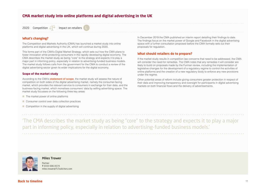## <span id="page-11-0"></span>**CMA market study into online platforms and digital advertising in the UK**

2020 | Competition  $\widehat{\triangle}$  | Impact on retailers

#### **What's changing?**

The Competition and Markets Authority (CMA) has launched a market study into online platforms and digital advertising in the UK, which will continue during 2020.

This forms part of the CMA's Digital Market Strategy, which sets out how the CMA plans to foster innovation while protecting consumers in the rapidly developing digital economy. The CMA describes the market study as being "core" to the strategy and expects it to play a major part in informing policy, especially in relation to advertising-funded business models. The market study follows calls from the government for the CMA to conduct a review of the digital advertising sector given its wider implications for the digital economy.

#### **Scope of the market study**

According to the CMA's **[statement of scope](https://assets.publishing.service.gov.uk/media/5d1b297e40f0b609dba90d7a/Statement_of_Scope.pdf)**, the market study will assess the nature of competition on both sides of the digital advertising market, namely the consumer-facing market, which provides the relevant service to consumers in exchange for their data, and the business-facing market, which monetises consumers' data by selling advertising space. The market study focusses on the following three key areas:

- The market power of online platforms
- Consumer control over data collection practices
- Competition in the supply of digital advertising

In December 2019 the CMA published an interim report detailing their findings to date. The findings focus on the market power of Google and Facebook in the digital advertising space with a further consultation proposed before the CMA formally sets out their proposals for regulation.

#### **What should retailers do to prepare?**

If the market study results in competition law concerns that need to be addressed, the CMA will consider the need for remedies. The CMA notes that any remedies it will consider are likely to build on proposals made by the Furman review, including the implementation of legislative changes for the development of a regulatory regime to control the activities of online platforms and the creation of a new regulatory body to enforce any new provisions under the regime.

Other potential areas of reform include giving consumers greater protection in respect of their data and improving transparency and oversight for participants in digital advertising markets on both financial flows and the delivery of advertisements.

'The CMA describes the market study as being "core" to the strategy and expects it to play a major part in informing policy, especially in relation to advertising-funded business models.'



#### **Miles Trower**

Partner **T** 0333 006 0574 miles.trower@TLTsolicitors.com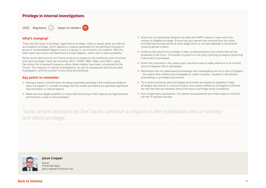### <span id="page-12-0"></span>**Privilege in internal investigations**



#### **What's changing?**

There are two types of privilege: legal advice privilege, where a lawyer gives you advice; and litigation privilege, which applies to material generated for the dominant purpose of actual or contemplated litigation even if a lawyer is not involved in its creation. With the latter there has to be a real likelihood of actual litigation, rather than a mere possibility.

Some recent decisions by the Courts continue to impact on the traditional view of solicitor and client privilege. Case law including: SFO v ENRC; RBS v Bilta; and HSE v Jukes has shown the increased frequency where these matters have been considered by the Courts. This impacts on internal investigations, as well as subsequent disclosures after investigation, and the conduct of any future proceedings.

### **Key points to remember:**

- Having a lawyer involved does not always quarantee privilege if the contextual evidence does not support it, consider privilege from the outset and before you generate significant documentation or internal reports.
- Make sure any legally qualified in-house staff are acting in their capacity as legal advisers and that this is clear in documentation.
- Given the inconsistencies between the *Bilta* and *ENRC cases* it is wise not to rely entirely on litigation privilege. Ensure that your lawyers are involved from the outset and that they provide advice at every stage which is not held separate to documents covering factual content.
- Evidence the reasons for privilege in clear contemporaneous documents that can be produced to the Court. The burden of proof is on the party claiming privilege to prove that a document is privileged.
- Given the comments in the *Jukes* case it would be wise to make reference to all criminal and civil litigation that is anticipated.
- Remember that non-adversarial proceedings and investigations are not a form of litigation – be careful when referencing investigations, public inquiries, inquests or disciplinary proceedings in privileged documents.
- Try to avoid situations where privileged documents are seized by regulators. Keep privileged documents in a secure location and clearly marked as privileged to minimise the risk that they are reviewed without the issue of privilege being considered.
- Don't forget basic precautions. Encryption and passwords are simple ways to minimise the risk of improper access.

# 'Some recent decisions by the Courts continue to impact on the traditional view of solicitor and client privilege.'



#### **Jason Cropper**

Partner **T** 0333 006 0814 jason.cropper@TLTsolicitors.com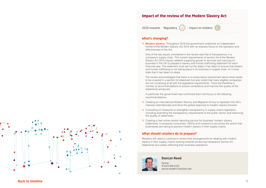### **Impact of the review of the Modern Slavery Act**

2020 onwards | Regulatory | | Impact on retailers:

### **What's changing?**

■ **Modern slavery:** Throughout 2019 the government undertook an independent review of the Modern Slavery Act 2015 with an express focus on the operation and effectiveness of the Act.

One of the key issues considered in the review was that of transparency in a company's supply chain. The current requirements of section 54 of the Modern Slavery Act 2015 require retailers supplying goods or services and carrying on business in the UK to prepare a slavery and human trafficking statement for each financial year. The statement must set out the steps it has taken to ensure that slavery and human trafficking is not taking place in its business or supply chain, or it must state that it has taken no steps.

The review acknowledged that there is no prescriptive requirement about what needs to be covered in a section 54 statement but also noted that many eligible companies are not complying at all with the legislative requirements. There are therefore a number of recommendations to ensure compliance and improve the quality of the statements produced.

In particular the government has confirmed that it will focus on the following recommendations:

- Creating an International Modern Slavery and Migration Envoy to represent the UK's interests internationally and drive the global response to modern slavery forward.
- Consulting on measures to strengthen transparency in supply chains legislation, including extending the transparency requirements to the public sector and improving the quality of statements.
- Creating a free online central reporting service for business' modern slavery statements, to empower consumers, NGOs and investors to scrutinise the action that businesses are taking to prevent modern slavery in their supply chains.

#### **What should retailers do to prepare?**

Retailers will need to continue to review their arrangements for dealing with modern slavery in their supply chains working towards producing transparent section 54 statements accurately reflecting their business operations.



#### **Duncan Reed**

Partner **T** 0333 006 0742 duncan.reed@TLTsolicitors.com

<span id="page-13-0"></span>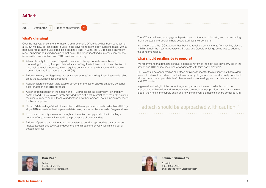### <span id="page-14-0"></span>**Ad-Tech**

2020 | Ecommerce  $|E|$  | Impact on retailers  $\blacksquare$ 

#### **What's changing?**

Over the last year or so, the Information Commissioner's Office (ICO) has been conducting a review into how personal data is used in the advertising technology (adtech) space, with a particular focus on the use of real time bidding (RTB). In June, the ICO released an interim report summarising its findings up to that point. The report identified numerous compliance issues with current adtech and RTB practices, including:

- A lack of clarity from many RTB participants as to the appropriate lawful basis for processing, including inappropriate reliance on "legitimate interests" for the collection of personal data using cookies, which requires consent under the Privacy and Electronic Communications Regulations 2003 (PECR).
- Failures to carry out "legitimate interests assessments" where legitimate interests is relied on as the lawful basis for processing.
- Regular failures to obtain valid explicit consent for the use of special category personal data for adtech and RTB purposes.
- A lack of transparency in the adtech and RTB processes; the ecosystem is incredibly complex and individuals are rarely provided with sufficient information at the right points in the user journey to enable them to understand how their personal data is being processed for these purposes.
- Risks of "data leakage" due to the number of different parties involved in adtech and RTB (a single RTB request can lead to personal data being processed by hundreds of organisations).
- Inconsistent security measures throughout the adtech supply chain due to the large number of organisations involved in the processing of personal data.
- Failures of participants in the adtech ecosystem to conduct appropriate data protection impact assessments (DPIAs) to document and mitigate the privacy risks arising out of adtech activities.

The ICO is continuing to engage with participants in the adtech industry and is considering their next steps and deciding how best to address their concerns.

In January 2020 the ICO reported that they had received commitments from key key players in RTB namely the Internet Advertising Bureau and Google which go some way to address the concerns raised..

#### **What should retailers do to prepare?**

We recommend that retailers conduct a detailed review of the activities they carry out in the adtech and RTB space, including arrangements with third party providers.

DPIAs should be conducted on all adtech activities to identify the relationships that retailers have with relevant providers, how the transparency obligations can be effectively complied with and what the appropriate lawful bases are for processing personal data in an adtech and RTB context.

In general and in light of the current regulatory scrutiny, the use of adtech should be approached with caution and we recommend only using those providers who have a clear idea of their role in the supply chain and how the relevant obligations can be complied with.

'...adtech should be approached with caution...'



#### **Dan Read**

Partner **T** 0333 006 1795 dan.read@TLTsolicitors.com



#### **Emma Erskine-Fox**

Associate **T** 0333 006 0915 emma.erskine-fox@TLTsolicitors.com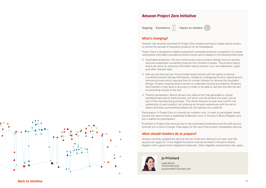### **Amazon Project Zero Initiative**

Ongoing | Ecommerce  $|E|$  | Impact on retailers

### **What's changing?**

Amazon has recently launched its Project Zero initiative aiming to enable brand owners to control the spread of fraudulent products on its marketplace.

Project Zero is designed to detect suspected counterfeit products contained in its stores using brand information provided by brand owners and is based on the following three tools:

- Automated protection: this tool continuously scans product listings and pro-actively removes suspected counterfeit products from Amazon's stores. The product listing scans are done by using key information about a brand, such as trademarks, logos and other relevant data.
- Self-service removal tool: this provides brand owners with the ability to remove counterfeit product listings themselves, instead of undergoing the prior reporting and removal process which required them to contact Amazon to remove the fraudulent listings. Amazon requires brand owners to undertake training (provided by Amazon) and maintain a high level of accuracy in order to be able to use this tool with the aim of preventing misuse of the tool.
- Product serialisation: Brand owners can utilise a tool that generates a unique serialised barcode for each product unit which can be printed onto each unit as part of the manufacturing process. This allows Amazon to scan and confirm the authenticity of each product unit entering an Amazon warehouse with the aim to detect and stop counterfeiting before the unit reaches the customer.

Participation in Project Zero is currently by invitation only. In order to participate, brand owners will need to have a registered trademark, enrol in Amazon's Brand Registry and join a waitlist for participation.

Enrolment in Project Zero and access to the automated protections and the self-service removal tool is free of charge. Fees apply for the use of the product serialisation service.

### **What should retailers do to prepare?**

Amazon recently updated the service from an invite only offering to an open one that anyone can apply for. To be eligible the brand must be enrolled in Amazon's Brand Registry with a government registered trademark. Other eligibility requirements also apply.



### **Jo Pritchard**

Legal director **T** 0333 006 0332 jo.pritchard@TLTsolicitors.com

<span id="page-15-0"></span>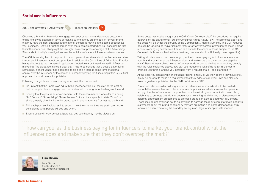## <span id="page-16-0"></span>**Social media influencers**

#### 2020 and onwards | Advertising  $\mathcal{L}_\text{2}$  | Impact on retailers | M



Choosing a brand ambassador to engage with your customers and potential customers online is tricky to get right in terms of making sure that they are the best fit for your brand, that they have the right audience and that their content is moving in the same direction as your business. Getting it right becomes even more complicated when you consider the fact that influencers don't always get the law right, as recent press coverage of the Advertising Standards Authority's investigations into the activities of various influencers demonstrates.

The ASA is working hard to respond to the complaints it receives about unclear ads and also to educate influencers about best practice. In addition, the Committee of Advertising Practice has spelled out its requirements in guidance directed towards those involved in influencer marketing. The guidance makes it clear that it has to be obvious that a post is advertising something, if an influencer has been paid to do it and if there is some form of editorial control over the influencer by the person or company paying for it, including if this is just final approval of a post before it is published.

Following this guidance, when posting an ad an influencer should:

- Be upfront that their post is an ad, with this message visible at the start of the post or before people click or engage, and not hidden within a long list of hashtags at the end.
- Specify that the post is an advertisement, with the recommended labels for this being "Ad", "Advert", "Advertising", "Advertisement". It is not acceptable to state "Spon" or similar, merely give thanks to the brand, say "in association with" or just tag the brand.
- Edit each post so that it takes into account how the channel they are posting on works, considering what people will see and when.
- Ensure posts will work across all potential devices that they may be viewed on.

Some posts may not be caught by the CAP Code, (for example, if the post does not require approval by the brand owner) but the Consumer Rights Act 2015 will nevertheless apply and the posts will be under the scrutiny of the Competition & Market Authority. The CMA requires posts to be labelled as "advertisement feature" or "advertisement promotion" to make it clear money is changing hands even if an ad falls outside the scope of those subject to the CAP Code (which those involved in the advertising process should still, ideally, have regard for).

Taking all this into account, how can you, as the business paying for influencers to market your brand, control what the influencer does and make sure that they don't overstep the mark? Beyond researching how an influencer tends to post and whether or not they comply with the rules explained above, how can you reduce the risks of using an influencer to promote your brand landing you in trouble from a reputational or legal standpoint?

At the point you engage with an influencer (either directly or via their agent if they have one), it may be prudent to make it a requirement that they adhere to relevant laws and also any rules or guidance published by the CMA, ASA and/or CAP.

You should also consider building in specific references to how ads should be posted in line with the relevant law and rules in your media guidelines, which you can then provide a copy of to the influencer and require them to adhere to in your contract with them. Using celebrities to promote brands is of course not a new thing, and the kind of clauses used in celebrity endorsement agreements to protect a brand can also be used with influencers. These include undertakings not to do anything to damage the reputation of or make negative statements about the brand or company they are promoting and not to damage their own reputation when promoting the brand by acting in an illegal or inappropriate manner.

'...how can you, as the business paying for influencers to market your brand, control what the influencer does and make sure that they don't overstep the mark?'



**Lisa Urwin**

Legal Director **T** 0333 006 1797 lisa.urwin@TLTsolicitors.com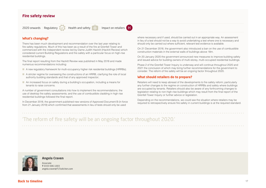### <span id="page-17-0"></span>**Fire safety review**

### 2020 onwards | Regulatory  $\blacksquare$  Health and safety  $\blacksquare$  | Impact on retailers  $\blacksquare$



### **What's changing?**

There has been much development and recommendation over the last year relating to fire safety regulations. Much of this has been as a result of the fire at Grenfell Tower and commenced with the independent review led by Dame Judith Hackitt (Hackitt Review) which considered current Building Regulations and fire safety with a particular focus on high-rise residential buildings.

The final report resulting from the Hackitt Review was published in May 2018 and made numerous recommendations including:

- A new regulatory framework for multi-occupancy higher risk residential buildings (HRRBs);
- A stricter regime for overseeing the constructions of an HRRB, clarifying the role of local authority building standards and that of any approved inspector;
- An increased focus on safety during a building's occupation, including a means for tenants to raise concerns.

A number of government consultations into how to implement the recommendations; the use of desktop fire safety assessments; and the use of combustible cladding in high rise residential buildings followed the final report.

In December 2018, the government published new versions of Approved Document B (in force from 21 January 2019) which confirmed that assessments in lieu of tests should only be used

where necessary and if used, should be carried out in an appropriate way. An assessment in lieu of a test should not be a way to avoid undertaking a test where one is necessary and should only be carried out where sufficient, relevant test evidence is available.

On 21 December 2018, the government also introduced a ban on the use of combustible construction materials in the external walls of buildings above 18m.

On 20 January 2020 the government announced new measures to improve building safety and issued advice for building owners of multi-storey, multi-occupied residential buildings.

Phase 2 of the Grenfell Tower Inquiry is underway and will continue throughout 2020 and 2021 the conclusion of which may bring further recommendations for the government to consider. The reform of fire safety will be an ongoing factor throughout 2020.

#### **What should retailers do to prepare?**

Retailers will need to keep abreast of the developments to fire safety reform; particularly any further changes to the regime on construction of HRRBs and safety where buildings are occupied by tenants. Retailers should also be aware of any forthcoming changes to legislation relating to non-high-rise buildings which may result from the final report of the Grenfell Tower Inquiry or further advice or legislation.

Depending on the recommendations, we could see the situation where retailers may be required to retrospectively ensure fire safety in current buildings is at the required standard.

'The reform of fire safety will be an ongoing factor throughout 2020.'



#### **Angela Craven**

Associate **T** 0333 006 1003 angela.craven@TLTsolicitors.com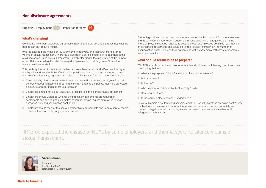### <span id="page-18-0"></span>**Non-disclosure agreements**

Ongoing | Employment  $\Box$  | Impact on retailers  $\Box$ 

#### **What's changing?**

Confidentiality or non-disclosure agreements (NDAs) are legal contracts that restrict what the parties can say about a matter.

#MeToo exposed the misuse of NDAs by some employers, and their lawyers, to silence victims of sexual harassment. There have also been a series of high profile scandals in the retail sector regarding sexual harassment – notably leading to the resignation of the founder of Ted Baker after allegations he massaged employees and that hugs were "forced" on female members of staff.

This publicity has led to reviews of the law on sexual harassment and NDAs culminating in the Equality and Human Rights Commission publishing new guidance in October 2019 on the use of confidentiality agreements in discrimination claims. The guidance confirms that:

- Confidentiality clauses must make it clear that they will not prevent employees from raising concerns about harassment, reporting criminal matters to the police, making a protected disclosure or reporting matters to a regulator
- Employees should not be put under any pressure to sign a confidentiality agreement
- Employers should weigh up whether confidentiality agreements are required in settlements and should not, as a matter of course, always require employees to keep purported acts of discrimination confidential
- Employers should monitor the use of confidentiality agreements and keep a central record to enable them to identify any systemic issues

Further legislative changes have been recommended by the House of Commons Women and Equality Committee Report (published in June 2019) which suggested that in the future employers might be required to cover the cost of employees obtaining legal advice on settlement agreements and could be forced to report annually on the number of discrimination complaints and their outcome as well as how many settlement agreements have been reached.

#### **What should retailers do to prepare?**

With NDA's firmly under the microscope, retailers should ask the following questions when considering their use:

- What is the purpose of the NDA in the particular circumstance?
- Is it necessary?
- Is it lawful?
- Who is going to be bound by it? One party? Both?
- How long will it last?
- Is the wording clear and easily understood?

NDA's will remain a hot topic of discussion and their use will likely face on-going controversy in a MeToo era. However it's important to remember that when used appropriately and created by legal professionals for legitimate purposes, they can be a valuable tool in safeguarding a business.

'#MeToo exposed the misuse of NDAs by some employers, and their lawyers, to silence victims of sexual harassment.'



**Sarah Skeen**

Associate **T** 0333 006 0382 sarah.skeen@TLTsolicitors.com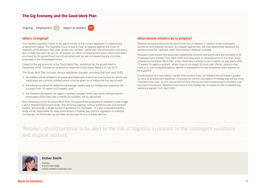### <span id="page-19-0"></span>**The Gig Economy and the Good Work Plan**

Ongoing | Employment  $\Box$  | Impact on retailers  $\Box$ 

#### **What's changing?**

The headline question linked to the gig economy is the correct approach to determining employment status. The Supreme Court is due to hear an appeal against the Court of Appeal's 2018 decision that Uber drivers are 'workers' rather than self-employed contractors, but no date has been set as yet. Proposals for reform of employment status tests have been promised by the government but not yet produced; we are not expecting any concrete proposals in the foreseeable future.

Linked to the gig economy is the Good Work Plan, published by the government in December 2018. It builds on its previous response to the Taylor Review of July 2017.

The Good Work Plan includes various legislative changes, including that from April 2020:

- all workers will be entitled to an expanded statement of terms and particulars (to which only employees are currently entitled) which must be given on or before the first day of work
- the reference period for determining average weekly pay for holiday pay purposes will increase from 12 weeks to 52 weeks; and
- the Swedish derogation for agency workers, through which pay parity with permanent employees of the hirer can currently be avoided, will be abolished.

Also following on from the Good Work Plan, the government proposes to establish a new single Labour Market Enforcement body. This will bring together various workforce law enforcement bodies, and provide a single source of guidance for employers. It is also proposed that this body will be responsible for state enforcement of holiday pay and the regulation of umbrella companies. No timescale has yet been announced for any of these reforms.

#### **What should retailers do to prepare?**

Retailers should continue to be alert to the risk of litigation in relation to the contingent workforce and atypical workers. To mitigate against this, the true relationship between the parties should be captured within the contract wherever possible.

Retailers must ensure that expanded statements of terms and particulars are provided to all employees and workers from April 2020 and keep track of developments in the other areas covered by the Good Work Plan. A key implication is likely to be in relation to pay parity after 12 weeks for agency workers; whilst there is no impact for end-user clients, retailers may need to re-visit budgeted agency spend in preparation for any increased costs passed on by suppliers.

In anticipation of a new labour market enforcement body, all retailers should expect greater scrutiny of employment practices. Ensuring the correct calculation of holiday pay will be more important than ever, as this will be the first time that government enforcement of holiday pay has been introduced. Retailers must ensure that holiday pay is based on the increased pay reference period, from April 2020.

'Retailers should continue to be alert to the risk of litigation in relation to the contingent workforce and atypical workers.'



#### **Esther Smith**

Partner **T** 0333 006 0966 esther.smith@TLTsolicitors.com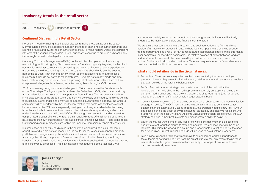### <span id="page-20-0"></span>**Insolvency trends in the retail sector**

2020 | Insolvency | | Impact on retailers |

#### **Continued Distress in the Retail Sector**

No-one will need reminding that financial distress remains prevalent across the sector. Many retailers continue to struggle to adapt in the face of changing consumer demands and spending habits and dwindling consumer confidence. To make matters worse, the competing interests of the various stakeholders in retail businesses continue to produce a dynamic and increasingly unpredictable legal environment.

Company Voluntary Arrangements (CVAs) continue to be championed as the leading restructuring tool for struggling "bricks-and-mortar" retailers, typically targeting the landlord community to deliver savings while preserving equity value. But more recent experiences are proving the old restructuring adage correct; that CVAs should only ever be seen as part of the solution. They can effectively "clean-up the balance sheet" of a distressed business but they do not solve its other problems. CVAs are not a ready-made one-sizefits-all restructuring opportunity. There is a growing list of well-known retailers which have disappeared altogether, less than a year after having been through a CVA process.

2019 has seen a growing number of challenges to CVAs come before the Courts, or settle on the Court steps. The highest profile has been the Debenhams CVA, which faced a strong attack by landlords, with very public support from Sports Direct. The outcome ensured the immediate survival of the group but the judgment will be closely examined by landlords wishing to launch future challenges and it may still be appealed. Even without an appeal, the landlord community will be heartened by the Court's confirmation that rights to forfeit leases cannot be compromised by CVA. We are generally seeing more closely co-ordinated action being taken by landlords, in an attempt to counteract the divide-and-conquer strategy which has underpinned many of the existing retail CVAs. There is growing anger that landlords are the compromised creditor of choice for retailers in financial distress. After all, landlords will often have geared their own businesses on the basis of their tenants' covenants. It is no coincidence that shopping centre businesses are feeling the impact of increasing numbers of tenant cuts.

In some cases, the continuing distress in the sector is being used as a cloak for some opportunists which are not experiencing such acute issues, to seek to rationalise property portfolios and renegotiate supplier relationships. Their motivation is to achieve competitive advantage by utilising the power of CVAs to cram down minority dissenting creditors, benefitting from the elimination of the stigma traditionally associated with companies entering formal insolvency processes. This is an inevitable consequence of the fact that CVAs

are becoming widely known as a concept but their strengths and limitations still not fully understood by many stakeholders and financial commentators.

We are aware that some retailers are threatening to seek rent reductions from landlords outside of an insolvency process, in cases where local competitors are enjoying stronger trading performance as a result of having restructured their balance sheets. While this makes clear commercial sense where achievable, the relative balance of power between landlord and retail tenant continues to be determined by a mixture of micro and macro-economic factors. Further landlord push-back to formal CVAs and requests for more favourable terms can be expected in all but the most obvious cases.

#### **What should retailers do in the circumstances:**

- Be realistic. CVAs remain a very effective flexible restructuring tool, when deployed properly. However they are not suitable for every retail scenario and cannot cure problems that exist outside of the retailer's balance sheet.
- Be fair. Any restructuring strategy needs to take account of the reality that the landlord community is alive to the market problem, extremely unhappy with being the compromised creditor and has a growing awareness of its legal rights (both under and outside of a CVA). An unfair CVA should not get past first base.
- Communicate effectively. If a CVA is being considered, a robust stakeholder communication strategy will be key. The CVA must be demonstrably fair and able to generate a better outcome than the alternatives. Just as importantly, the creditors need to know this. Rumour and gossip can be the death of any restructuring, particularly one that involves a consumer brand. Yet, even the best CVA plans will come unstuck if insufficient creditors trust the CVA strategy as being in their best interests and management's ability to deliver it.
- Watch the market. At the time of any lease renewals, consider whether it is possible to negotiate a rent reduction clause to match competitor CVA concessions with the same landlord. This might be viewed as a sound and proportionate protection against the need for a future CVA. But institutional landlords will be keen to avoid setting precedents.
- Take advice. Given the risks of a wrong move to all concerned and the importance to the outcome of getting things right from the outset, it is vital that any retailer facing these issues should obtain good professional advice early. The range of positive outcomes narrows dramatically over time.



#### **James Forsyth**

Partner **T** 0333 006 0145 james.forsyth@TLTsolicitors.com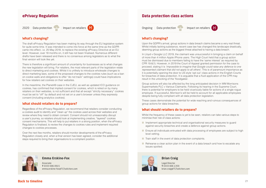### <span id="page-21-0"></span>**ePrivacy Regulation**

## 2020 | Data protection | | Impact on retailers | M

### **What's changing?**

The draft ePrivacy Regulation has been making its way through the EU legislative system for quite some time. It was intended to come into force at the same time as the GDPR came into effect, i.e. 25 May 2018, to replace the existing ePrivacy Directive at an EU level. However, over 18 months on, it still has not been finalised. Numerous different drafts have been released and there is no consensus among legislators as to what the final version will look like yet.

There is therefore a significant amount of uncertainty for businesses as to what changes the new legislation will bring. For retailers, the most relevant parts of the legislation relate to direct marketing and cookies. Whilst it is unlikely to introduce wholesale changes to direct marketing laws, some of the proposed changes to the cookies rules (such as a ban on cookie walls and obligations to offer "do not track" settings) could have implications for how retailers set cookies on their websites.

In the meantime, the Planet49 case in the CJEU, as well as updated ICO guidance on cookies, has confirmed that implied consent for cookies, which is relied on by many retailers on their websites, is not sufficient and that all except "strictly necessary" cookies must be set to "off" by default and not set on a user's browser unless they expressly consent (including analytics cookies).

#### **What should retailers do to prepare?**

Regardless of the ePrivacy Regulation, we recommend that retailers consider conducting a cookies audit to identify and "clean up" the cookies used across their websites and review where they need to obtain consent. Consent should not unreasonably disrupt a user's journey, so retailers should look at implementing creative, "layered" cookies consent mechanisms. This will help to put retailers in a strong position, when the ePrivacy Regulation is finalised, to review the changes to cookies rules and implement required changes to cookies processes.

Over the next few months, retailers should monitor developments of the ePrivacy Regulation closely and, when a final version has been agreed, consider the additional steps required to bring their organisations to a compliant position.



#### **Emma Erskine-Fox**

Associate **T** 0333 006 0915 emma.erskine-fox@TLTsolicitors.com

### **Data protection class actions**

Ongoing | Data protection  $\Box$  | Impact on retailers  $\Box$ 



### **What's changing?**

Upon the GDPR's arrival, group actions in data breach claims became a very real threat. Whilst initially lacking substance, recent case law has changed this landscape drastically, deeming group actions as the biggest threat attached to having a data breach.

In Lloyd v Google LLC 2019, the claimant was unsuccessful in bringing a claim on behalf of more than 4 million Apple iPhone users. The High Court held that a group action must be dismissed due to members failing to have the 'same interest' as required by CPR 19.6(1). However, in 2019 the Court of Appeal granted permission for the case to proceed, stating it is *'impossible to imagine that Google could raise any defence to one represented claimant that did not apply to all others'.* This is of paramount importance as it is potentially opening the door to US style 'opt out' class actions in the English Courts for breaches of data protection. It is arguable that a fluid application of the CPR may result in the unlocking of the 'floodgates'.

Group actions will also be affected by the long anticipated decision in WM Morrisons Supermarkets PLC v Various Claimants. Following its hearing in the Supreme Court, there is potential for employers to be held vicariously liable for actions of a single rogue employee. If successful, Morrison's will be held to account for all applicable employees despite being fully compliant with all data protection legislation.

These cases demonstrate the potential for wide reaching and ruinous consequences of group actions for data breaches.

#### **What should retailers do to prepare?**

Whilst the frequency of these cases is yet to be seen, retailors can take various steps to minimise their risk of class actions:

- Implement appropriate technical and organisational security measures to quard against security breaches and create a defence against group actions.
- Ensure all individuals entrusted with data processing of employees are subject to high level vetting.
- Train staff in the event of data protection complaints.
- Rehearse a clear action plan in the event of a data breach and how to escalate any issues spotted.



### **Brian Craig**

Legal Director **T** 0333 006 1359 brian.craig@TLTsolicitors.com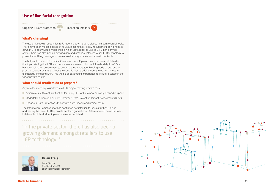### <span id="page-22-0"></span>**Use of live facial recognition**

Ongoing | Data protection

| Impact on retailers (M

### **What's changing?**

The use of live facial recognition (LFC) technology in public places is a controversial topic. There have been multiple cases of its use, most notably following judgment being handed down in Bridges v South Wales Police which upheld police use of LFR. In the private sector, there has also been a growing demand amongst retailers to use LFR technology to prevent shoplifting, manage customer loyalty programmes and speed checkouts.

The hotly anticipated Information Commissioner's Opinion has now been published on this topic, stating that LFR is an 'unnecessary intrusion into individuals' daily lives'. She has also called on government to produce a new statutory binding code of practice to provide safeguards that address the specific issues arising from the use of biometric technology, including LFR. This will be of paramount importance to its future usage in the wider private sector.

#### **What should retailers do to prepare?**

Any retailer intending to undertake a LFR project moving forward must:

- Articulate a sufficient justification for using LFR within a new narrowly defined purpose
- Undertake a thorough and well-informed Data Protection Impact Assessment (DPIA)
- Engage a Data Protection Officer with a well-resourced project team

The Information Commissioner has confirmed her intention to issue a further Opinion addressing the use of LFR by private sector organisations. Retailers would be well advised to take note of this further Opinion when it is published

'In the private sector, there has also been a growing demand amongst retailers to use LFR technology...'



#### **Brian Craig**

Legal Director **T** 0333 006 1359 brian.craig@TLTsolicitors.com

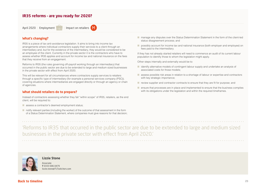### <span id="page-23-0"></span>**IR35 reforms – are you ready for 2020?**

April 2020 | Employment | Impact on retailers | M

#### **What's changing?**

IR35 is a piece of tax anti-avoidance legislation. It aims to bring into income tax arrangements where individual contractors supply their services to a client through an intermediary and, but for the existence of the intermediary, they would be considered to be an employee of the client. Currently in the private sector it is the contractors who have to assess whether IR35 applies and account for income tax and national insurance on the fees that they receive from an engagement.

Reforms to IR35 (the rules governing off-payroll working through an intermediary) that occurred in the public sector are due to be extended to large and medium sized businesses in the private sector with effect from April 2020.

This will be relevant for all circumstances where contractors supply services to retailers through a specific type of intermediary (for example a personal services company (PSC)), covering situations where intermediaries are engaged directly or through an agency or chain of agencies.

#### **What should retailers do to prepare?**

Instead of contractors assessing whether they fall "within scope" of IR35, retailers, as the end client, will be required to:

- assess a contractor's deemed employment status;
- notify relevant parties (including the worker) of the outcome of that assessment in the form of a Status Determination Statement, where companies must give reasons for that decision;

■ manage any disputes over the Status Determination Statement in the form of the client-led status disagreement process; and

■ possibly account for income tax and national insurance (both employer and employee) on fees paid to the intermediary.

If they has not already started retailers will need to commence an audit of its current labour population to identify those to whom the legislation might apply.

Other steps internally and externally would be to:

- identify alternative models of contingent labour supply and undertake an analysis of associated costs for those models;
- assess possible risk areas in relation to a shortage of labour or expertise and contractors with key strategic importance;
- review supplier and contractor contracts to ensure that they are fit for purpose; and
- ensure that processes are in place and implemented to ensure that the business complies with its obligations under the legislation and within the required timeframes.

'Reforms to IR35 that occurred in the public sector are due to be extended to large and medium sized businesses in the private sector with effect from April 2020.'



**Lizzie Stone**

Associate **T** 0333 006 0479 lizzie.stone@TLTsolicitors.com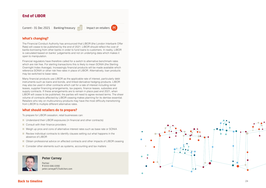### <span id="page-24-0"></span>**End of LIBOR**

Current – 31 Dec 2021 | Banking/treasury

### | Impact on retailers (M

**What's changing?** 

The Financial Conduct Authority has announced that LIBOR (the London Interbank Offer Rate) will cease to be published by the end of 2021. LIBOR should reflect the cost of banks borrowing from other banks in order to fund loans to customers. In reality, LIBOR is calculated based on banks' judgements and not on underlying data which makes it open to manipulation.

Financial regulators have therefore called for a switch to alternative benchmark rates which are risk free. For sterling transactions this is likely to mean SONIA (the Sterling Overnight Index Average). Increasingly financial products will be made available which reference SONIA or other risk free rates in place of LIBOR. Alternatively, loan products may be switched to base rates.

Many financial products use LIBOR as the applicable rate of interest, particularly debt instruments such as loans and bonds, and linked derivative hedging products. LIBOR may also be used in other contracts which call for a rate of interest including rental leases, supplier financing arrangements, tax papers, finance leases, subsidies and supply contracts. If these arrangements are to remain in place past end 2021, when LIBOR will cease to be published, the parties will need to agree revised terms. The sheer volume of contracts affected by LIBOR ceasing makes planning for its demise essential. Retailers who rely on multicurrency products may have the most difficulty transitioning from LIBOR to multiple different alternative rates.

#### **What should retailers do to prepare?**

To prepare for LIBOR cessation, retail businesses can:

- Understand their LIBOR exposures (in financial and other contracts)
- Consult with their finance providers
- Weigh up pros and cons of alternative interest rates such as base rate or SONIA
- Review individual contracts to identify clauses setting out what happens in the absence of LIBOR
- Obtain professional advice on affected contracts and other impacts of LIBOR ceasing
- Consider other elements such as systems, accounting and tax matters



### **Peter Carney**

Partner **T** 0333 006 0390 peter.carney@TLTsolicitors.com

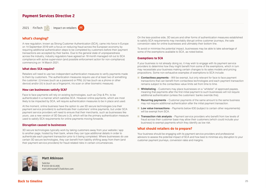### <span id="page-25-0"></span>**Payment Services Directive 2**



#### **What's changing?**

A new regulation, known as Strong Customer Authentication (SCA), came into force in Europe on 14 September 2019 with a focus on reducing fraud across the European economy by requiring additional authentication steps to be completed by customers before their payment transactions are accepted by their banks. Due to the general state of unpreparedness across the industry, industry regulators have agreed an 18 month managed roll out to SCA compliance with active supervision (and possible enforcement action for non-compliance) commencing on 14 March 2021.

#### **What does SCA require?**

Retailers will need to use two independent authentication measures to verify payments made to them by customers. The authentication measures require use of at least two of something the customer: (i) knows (such as a password or PIN); (ii) has (such as a phone or other device) and/or (iii) is (such as a fingerprint, iris scan or other biometric measure).

#### **How can businesses satisfy SCA?**

Face to face payments will rely on existing technologies, such as Chip & Pin, to be authenticated in a manner which satisfies SCA. However online payments, which are most likely to be impacted by SCA, will require authentication measures to be in place and used.

At the moment, online business have the option to use 3D secure technologies (via their payment service providers) to authenticate their customers' online payments, but under SCA payment service providers will need to ensure that their merchants, such as businesses like yours, use a new version of 3D Secure (v.2), which will be the primary authentication measure used to satisfy SCA requirements for online payments moving forwards.

#### **Disruption caused to businesses**

3D secure technologies typically work by taking customers away from your website / app to another page, hosted by their bank, where they can type additional details in order to authenticate each payment transaction prior to it being completed. Where businesses do use certain 3D secure technologies, they can benefit from liability shifting away from them (and their payment service providers) for fraud-related risks in certain circumstances.

On the less-positive side, 3D secure and other forms of authentication measures established to satisfy SCA requirements may inevitably disrupt online customer journeys, the sale conversion rates for online businesses and ultimately their bottom line.

To avoid or minimise the potential impact, businesses may be able to take advantage of some of the exemptions available to SCA, as noted below.

#### **Exemptions to SCA**

If your business is not already doing so, it may wish to engage with its payment service providers to determine how they might benefit from some of the exemptions, which in turn may necessitate your business making certain changes to its sales models and pricing propositions. Some non-exhaustive examples of exemptions to SCA include:

- **Contactless payments** Will be exempt, but only relevant for face to face payment transactions that can benefit from contactless technologies and each payment transaction remains subject to the contactless value limits set from time to time.
- **Whitelisting** Customers may place businesses on a "whitelist" of approved payees, meaning that payments after the first initial payment to such businesses will not require additional authentication (unless the customers' banks override this).
- **Recurring payments** Customer payments of the same amount to the same business may not require additional authentication after the initial payment transaction.
- **Low value transactions** Payments below €30 (subject to certain other requirements) will be exempt from SCA.
- **Transaction risk analysis** Payment service providers who benefit from low levels of fraud across their customer base may allow their customers (which could include your business) to exempt payments which they identify as low risk.

#### **What should retailers do to prepare?**

Your business should be engaging with its payment service providers and professional advisors to assess the potential impact of SCA and how best to minimise any disruption to your customer payment journeys, conversion rates and margins.



#### **Matt Atkinson**

Solicitor **T** 0333 00 61406 matt.atkinson@TLTsolicitors.com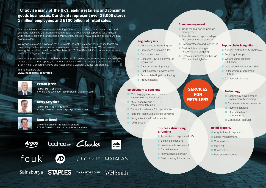**TLT advise many of the UK's leading retailers and consumer goods businesses. Our clients represent over 15,000 stores, 1 million employees and £100 billion of retail sales.**

Our team have an in-depth understanding of the industry, offering advice in context and solutions that work. Our clients include three of the UK's largest supermarket chains, a wide range of fashion brands, home improvement stores, FMCG companies and pure-play online retailers.

We provide strategic advice on major projects, as well as support for in-house teams on day-to-day matters where we act as extension of their in-house teams. We are ranked among the very best law firms in Chambers UK 2018 for Retail (UK-wide), an independent guide to the legal profession.

We also support retailers through our retail-specific training programme, seminars, e-alerts, industry reports, risk reports, etc. and are actively involved in industry groups such as the British Retail Consortium, Revo and Retail Week's General Counsel programme.

#### To find out more visit: **[www.tltsolicitors.com/retail](http://www.tltsolicitors.com/retail)**



### **Perran Jervis**

Partner and Head of Retail **T** +44 (0)333 006 0320 | perran.jervis@TLTsolicitors.com



### **Kerry Gwyther**

Partner and Head of Regulatory **T** 0333 006 0155 | kerry.gwyther@TLTsolicitors.com



#### **Duncan Reed**

Partner and editor of the Retail Risk Report **T** 0333 006 0742 | duncan.reed@TLTsolicitors.com

















Sainsbury's STAPLES **THEHUTGROUP** 



pets at home

**MATAL AN** 

#### **Brand management**

- Trade mark & design portfolio management
- Brand licensing, sponsorships and celebrity endorsements
- Brand protection and monitoring
- (incoming and outgoing)
- regulations ■ Data protection & privacy
- Health, safety & environmental

■ Advertising & marketing law ■ Promotions & pricing rules

■ Product labelling & packaging

■ Consumer law & e-commerce

■ Product liability

**Regulatory risk** 

■ Competition law

#### **Employment & pensions**

- T&Cs (eq gig economy, minimum wage & working time issues)
- ACAS conciliations & employment tribunals
- Trade union relations & industrial action
- Pensions, incentives & benefit schemes
- Reorganisations & redundancies
- TUPE issues

**Back to timeline** 26

#### **Business structuring & funding**

- Acquisitions, disposals & JVs
- Banking & financing
- Private equity investment
- Capital markets
- International expansion
- Restructuring & turnaround

- 
- 
- 
- Design right challenges
- Complex infringements through IPEC and the High Court

**RETAILERS**

■ Warehousing, logistics & fulfilment

■ Sourcing & supply

**Supply chain & logistics** ■ Agency, distribution & wholesale

- International freight forwarding
- Outsourcing, procurement & GNFR
- Contractual disputes

### **Technology**

- Technology development, procurement & licensing
- E-commerce & m-commerce
- Payment services
- Information law & cyber security
- Contractual disputes

### **Retail property**

- Acquisitions & disposals
- Estate management
- Concessions
- Planning
- Construction
- Real estate disputes

# **SERVICES FOR**